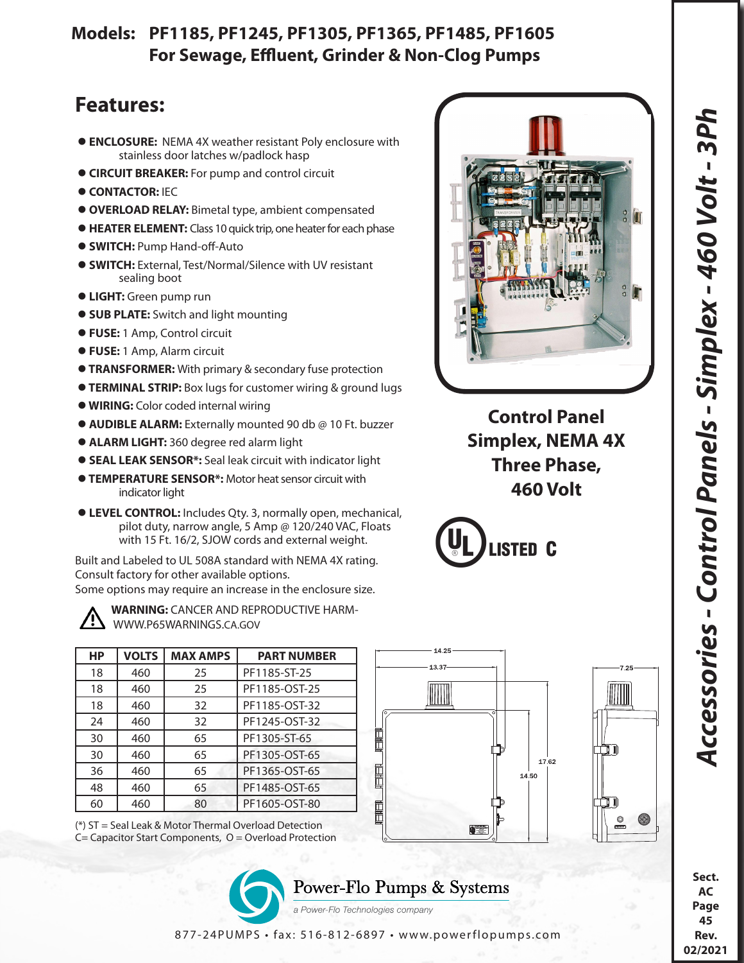## **Models: PF1185, PF1245, PF1305, PF1365, PF1485, PF1605 For Sewage, Effluent, Grinder & Non-Clog Pumps**

## **Features:**

- **ENCLOSURE:** NEMA 4X weather resistant Poly enclosure with stainless door latches w/padlock hasp
- **CIRCUIT BREAKER:** For pump and control circuit
- $\bullet$  **CONTACTOR: IEC**
- **OVERLOAD RELAY:** Bimetal type, ambient compensated
- **HEATER ELEMENT:** Class 10 quick trip, one heater for each phase
- **SWITCH:** Pump Hand-off-Auto
- **SWITCH:** External, Test/Normal/Silence with UV resistant sealing boot
- **LIGHT:** Green pump run
- **SUB PLATE:** Switch and light mounting
- **FUSE:** 1 Amp, Control circuit
- **FUSE:** 1 Amp, Alarm circuit
- **TRANSFORMER:** With primary & secondary fuse protection
- **TERMINAL STRIP:** Box lugs for customer wiring & ground lugs
- **WIRING:** Color coded internal wiring
- **AUDIBLE ALARM:** Externally mounted 90 db @ 10 Ft. buzzer
- **ALARM LIGHT:** 360 degree red alarm light
- **SEAL LEAK SENSOR\*:** Seal leak circuit with indicator light
- **TEMPERATURE SENSOR\*:** Motor heat sensor circuit with indicator light
- **LEVEL CONTROL:** Includes Qty. 3, normally open, mechanical, pilot duty, narrow angle, 5 Amp @ 120/240 VAC, Floats with 15 Ft. 16/2, SJOW cords and external weight.

Built and Labeled to UL 508A standard with NEMA 4X rating. Consult factory for other available options. Some options may require an increase in the enclosure size.



 **WARNING:** CANCER AND REPRODUCTIVE HARM- WWW.P65WARNINGS.CA.GOV

| НP | <b>VOLTS</b> | <b>MAX AMPS</b> | <b>PART NUMBER</b> |
|----|--------------|-----------------|--------------------|
| 18 | 460          | 25              | PF1185-ST-25       |
| 18 | 460          | 25              | PF1185-OST-25      |
| 18 | 460          | 32              | PF1185-OST-32      |
| 24 | 460          | 32              | PF1245-OST-32      |
| 30 | 460          | 65              | PF1305-ST-65       |
| 30 | 460          | 65              | PF1305-OST-65      |
| 36 | 460          | 65              | PF1365-OST-65      |
| 48 | 460          | 65              | PF1485-OST-65      |
| 60 | 460          | 80              | PF1605-OST-80      |





**Control Panel Simplex, NEMA 4X Three Phase, 460 Volt**

MIII







a Power-Flo Technologies company

**Sect. AC Page 45 Rev. 02/2021**

877-24PUMPS • fax: 516-812-6897 • www.powerflopumps.com